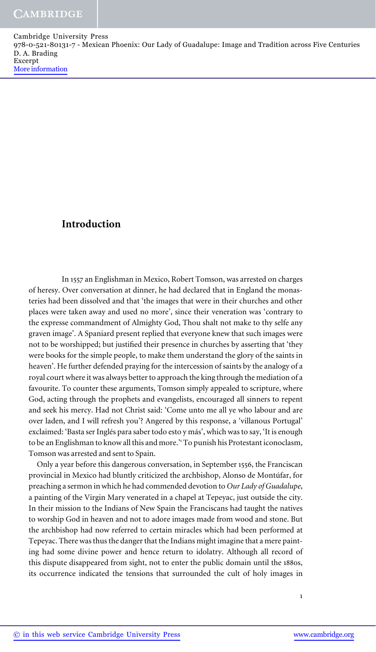# **Introduction**

In 1557 an Englishman in Mexico, Robert Tomson, was arrested on charges of heresy. Over conversation at dinner, he had declared that in England the monasteries had been dissolved and that 'the images that were in their churches and other places were taken away and used no more', since their veneration was 'contrary to the expresse commandment of Almighty God, Thou shalt not make to thy selfe any graven image'. A Spaniard present replied that everyone knew that such images were not to be worshipped; but justified their presence in churches by asserting that 'they were books for the simple people, to make them understand the glory of the saints in heaven'. He further defended praying for the intercession of saints by the analogy of a royal court where it was always better to approach the king through the mediation of a favourite. To counter these arguments, Tomson simply appealed to scripture, where God, acting through the prophets and evangelists, encouraged all sinners to repent and seek his mercy. Had not Christ said: 'Come unto me all ye who labour and are over laden, and I will refresh you'? Angered by this response, a 'villanous Portugal' exclaimed: 'Basta ser Inglés para saber todo esto y más', which was to say, 'It is enough to be an Englishman to know all this and more." To punish his Protestant iconoclasm, Tomson was arrested and sent to Spain.

Only a year before this dangerous conversation, in September 1556, the Franciscan provincial in Mexico had bluntly criticized the archbishop, Alonso de Montúfar, for preaching a sermon in which he had commended devotion to *Our Lady of Guadalupe*, a painting of the Virgin Mary venerated in a chapel at Tepeyac, just outside the city. In their mission to the Indians of New Spain the Franciscans had taught the natives to worship God in heaven and not to adore images made from wood and stone. But the archbishop had now referred to certain miracles which had been performed at Tepeyac. There was thus the danger that the Indians might imagine that a mere painting had some divine power and hence return to idolatry. Although all record of this dispute disappeared from sight, not to enter the public domain until the 1880s, its occurrence indicated the tensions that surrounded the cult of holy images in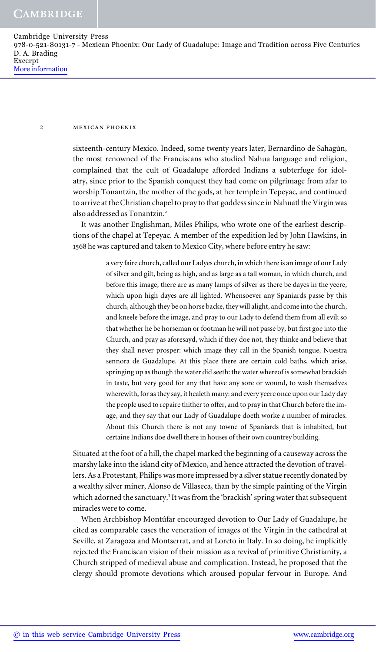## 2 mexican phoenix

sixteenth-century Mexico. Indeed, some twenty years later, Bernardino de Sahagún, the most renowned of the Franciscans who studied Nahua language and religion, complained that the cult of Guadalupe afforded Indians a subterfuge for idolatry, since prior to the Spanish conquest they had come on pilgrimage from afar to worship Tonantzin, the mother of the gods, at her temple in Tepeyac, and continued to arrive at the Christian chapel to pray to that goddess since in Nahuatl the Virgin was also addressed as Tonantzin.<sup>2</sup>

It was another Englishman, Miles Philips, who wrote one of the earliest descriptions of the chapel at Tepeyac. A member of the expedition led by John Hawkins, in 1568 he was captured and taken to Mexico City, where before entry he saw:

> a very faire church, called our Ladyes church, in which there is an image of our Lady of silver and gilt, being as high, and as large as a tall woman, in which church, and before this image, there are as many lamps of silver as there be dayes in the yeere, which upon high dayes are all lighted. Whensoever any Spaniards passe by this church, although they be on horse backe, they will alight, and come into the church, and kneele before the image, and pray to our Lady to defend them from all evil; so that whether he be horseman or footman he will not passe by, but first goe into the Church, and pray as aforesayd, which if they doe not, they thinke and believe that they shall never prosper: which image they call in the Spanish tongue, Nuestra sennora de Guadalupe. At this place there are certain cold baths, which arise, springing up as though the water did seeth: the water whereof is somewhat brackish in taste, but very good for any that have any sore or wound, to wash themselves wherewith, for as they say, it healeth many: and every yeere once upon our Lady day the people used to repaire thither to offer, and to pray in that Church before the image, and they say that our Lady of Guadalupe doeth worke a number of miracles. About this Church there is not any towne of Spaniards that is inhabited, but certaine Indians doe dwell there in houses of their own countrey building.

Situated at the foot of a hill, the chapel marked the beginning of a causeway across the marshy lake into the island city of Mexico, and hence attracted the devotion of travellers. As a Protestant, Philips was more impressed by a silver statue recently donated by a wealthy silver miner, Alonso de Villaseca, than by the simple painting of the Virgin which adorned the sanctuary.<sup>3</sup> It was from the 'brackish' spring water that subsequent miracles were to come.

When Archbishop Montúfar encouraged devotion to Our Lady of Guadalupe, he cited as comparable cases the veneration of images of the Virgin in the cathedral at Seville, at Zaragoza and Montserrat, and at Loreto in Italy. In so doing, he implicitly rejected the Franciscan vision of their mission as a revival of primitive Christianity, a Church stripped of medieval abuse and complication. Instead, he proposed that the clergy should promote devotions which aroused popular fervour in Europe. And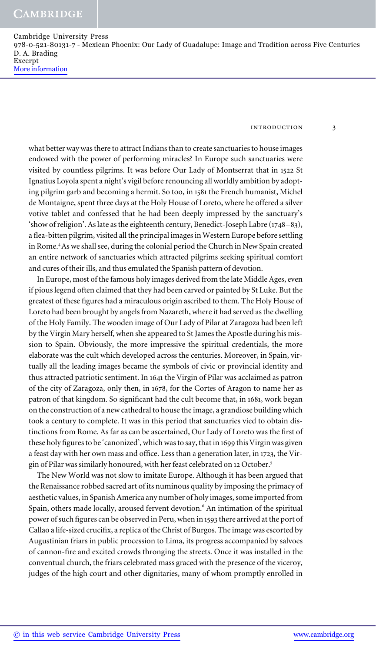introduction 3

what better way was there to attract Indians than to create sanctuaries to house images endowed with the power of performing miracles? In Europe such sanctuaries were visited by countless pilgrims. It was before Our Lady of Montserrat that in 1522 St Ignatius Loyola spent a night's vigil before renouncing all worldly ambition by adopting pilgrim garb and becoming a hermit. So too, in 1581 the French humanist, Michel de Montaigne, spent three days at the Holy House of Loreto, where he offered a silver votive tablet and confessed that he had been deeply impressed by the sanctuary's 'show of religion'. As late as the eighteenth century, Benedict-Joseph Labre (1748–83), a flea-bitten pilgrim, visited all the principal images in Western Europe before settling in Rome.<sup>4</sup> As we shall see, during the colonial period the Church in New Spain created an entire network of sanctuaries which attracted pilgrims seeking spiritual comfort and cures of their ills, and thus emulated the Spanish pattern of devotion.

In Europe, most of the famous holy images derived from the late Middle Ages, even if pious legend often claimed that they had been carved or painted by St Luke. But the greatest of these figures had a miraculous origin ascribed to them. The Holy House of Loreto had been brought by angels from Nazareth, where it had served as the dwelling of the Holy Family. The wooden image of Our Lady of Pilar at Zaragoza had been left by the Virgin Mary herself, when she appeared to St James the Apostle during his mission to Spain. Obviously, the more impressive the spiritual credentials, the more elaborate was the cult which developed across the centuries. Moreover, in Spain, virtually all the leading images became the symbols of civic or provincial identity and thus attracted patriotic sentiment. In 1641 the Virgin of Pilar was acclaimed as patron of the city of Zaragoza, only then, in 1678, for the Cortes of Aragon to name her as patron of that kingdom. So significant had the cult become that, in 1681, work began on the construction of a new cathedral to house the image, a grandiose building which took a century to complete. It was in this period that sanctuaries vied to obtain distinctions from Rome. As far as can be ascertained, Our Lady of Loreto was the first of these holy figures to be 'canonized', which was to say, that in 1699 this Virgin was given a feast day with her own mass and office. Less than a generation later, in 1723, the Virgin of Pilar was similarly honoured, with her feast celebrated on 12 October.<sup>5</sup>

The New World was not slow to imitate Europe. Although it has been argued that the Renaissance robbed sacred art of its numinous quality by imposing the primacy of aesthetic values, in Spanish America any number of holy images, some imported from Spain, others made locally, aroused fervent devotion.<sup>6</sup> An intimation of the spiritual power of such figures can be observed in Peru, when in 1593 there arrived at the port of Callao a life-sized crucifix, a replica of the Christ of Burgos. The image was escorted by Augustinian friars in public procession to Lima, its progress accompanied by salvoes of cannon-fire and excited crowds thronging the streets. Once it was installed in the conventual church, the friars celebrated mass graced with the presence of the viceroy, judges of the high court and other dignitaries, many of whom promptly enrolled in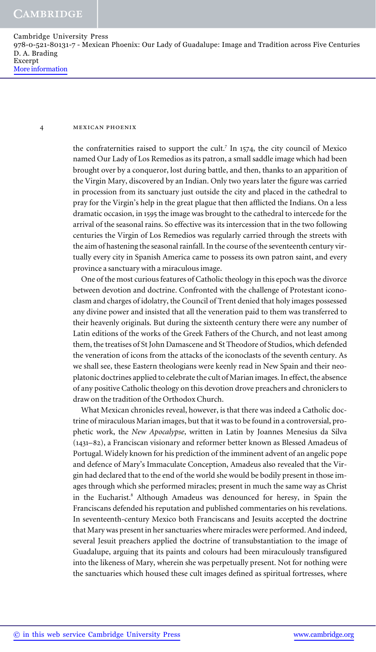#### 4 mexican phoenix

the confraternities raised to support the cult.<sup>7</sup> In 1574, the city council of Mexico named Our Lady of Los Remedios as its patron, a small saddle image which had been brought over by a conqueror, lost during battle, and then, thanks to an apparition of the Virgin Mary, discovered by an Indian. Only two years later the figure was carried in procession from its sanctuary just outside the city and placed in the cathedral to pray for the Virgin's help in the great plague that then afflicted the Indians. On a less dramatic occasion, in 1595 the image was brought to the cathedral to intercede for the arrival of the seasonal rains. So effective was its intercession that in the two following centuries the Virgin of Los Remedios was regularly carried through the streets with the aim of hastening the seasonal rainfall. In the course of the seventeenth century virtually every city in Spanish America came to possess its own patron saint, and every province a sanctuary with a miraculous image.

One of the most curious features of Catholic theology in this epoch was the divorce between devotion and doctrine. Confronted with the challenge of Protestant iconoclasm and charges of idolatry, the Council of Trent denied that holy images possessed any divine power and insisted that all the veneration paid to them was transferred to their heavenly originals. But during the sixteenth century there were any number of Latin editions of the works of the Greek Fathers of the Church, and not least among them, the treatises of St John Damascene and St Theodore of Studios, which defended the veneration of icons from the attacks of the iconoclasts of the seventh century. As we shall see, these Eastern theologians were keenly read in New Spain and their neoplatonic doctrines applied to celebrate the cult of Marian images. In effect, the absence of any positive Catholic theology on this devotion drove preachers and chroniclers to draw on the tradition of the Orthodox Church.

What Mexican chronicles reveal, however, is that there was indeed a Catholic doctrine of miraculous Marian images, but that it was to be found in a controversial, prophetic work, the *New Apocalypse*, written in Latin by Joannes Menesius da Silva (1431–82), a Franciscan visionary and reformer better known as Blessed Amadeus of Portugal. Widely known for his prediction of the imminent advent of an angelic pope and defence of Mary's Immaculate Conception, Amadeus also revealed that the Virgin had declared that to the end of the world she would be bodily present in those images through which she performed miracles; present in much the same way as Christ in the Eucharist.<sup>8</sup> Although Amadeus was denounced for heresy, in Spain the Franciscans defended his reputation and published commentaries on his revelations. In seventeenth-century Mexico both Franciscans and Jesuits accepted the doctrine that Mary was present in her sanctuaries where miracles were performed. And indeed, several Jesuit preachers applied the doctrine of transubstantiation to the image of Guadalupe, arguing that its paints and colours had been miraculously transfigured into the likeness of Mary, wherein she was perpetually present. Not for nothing were the sanctuaries which housed these cult images defined as spiritual fortresses, where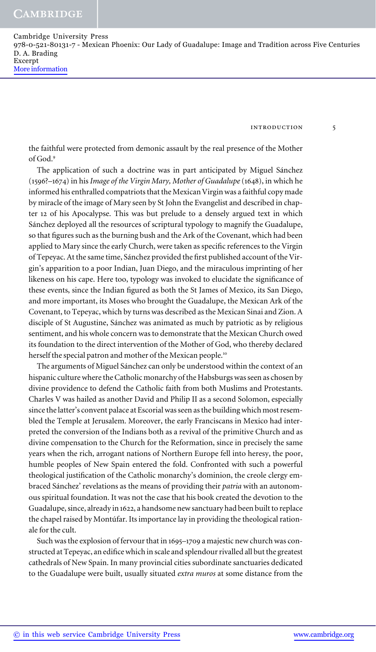**CAMBRIDGE** 

Cambridge University Press 978-0-521-80131-7 - Mexican Phoenix: Our Lady of Guadalupe: Image and Tradition across Five Centuries D. A. Brading Excerpt More information

introduction 5

the faithful were protected from demonic assault by the real presence of the Mother of God.<sup>9</sup>

The application of such a doctrine was in part anticipated by Miguel Sánchez (1596?–1674) in his *Image of the Virgin Mary, Mother of Guadalupe* (1648), in which he informed his enthralled compatriots that the Mexican Virgin was a faithful copy made by miracle of the image of Mary seen by St John the Evangelist and described in chapter 12 of his Apocalypse. This was but prelude to a densely argued text in which Sánchez deployed all the resources of scriptural typology to magnify the Guadalupe, so that figures such as the burning bush and the Ark of the Covenant, which had been applied to Mary since the early Church, were taken as specific references to the Virgin of Tepeyac. At the same time, Sánchez provided the first published account of the Virgin's apparition to a poor Indian, Juan Diego, and the miraculous imprinting of her likeness on his cape. Here too, typology was invoked to elucidate the significance of these events, since the Indian figured as both the St James of Mexico, its San Diego, and more important, its Moses who brought the Guadalupe, the Mexican Ark of the Covenant, to Tepeyac, which by turns was described as the Mexican Sinai and Zion. A disciple of St Augustine, Sánchez was animated as much by patriotic as by religious sentiment, and his whole concern was to demonstrate that the Mexican Church owed its foundation to the direct intervention of the Mother of God, who thereby declared herself the special patron and mother of the Mexican people.<sup>10</sup>

The arguments of Miguel Sánchez can only be understood within the context of an hispanic culture where the Catholic monarchy of the Habsburgs was seen as chosen by divine providence to defend the Catholic faith from both Muslims and Protestants. Charles V was hailed as another David and Philip II as a second Solomon, especially since the latter's convent palace at Escorial was seen as the building which most resembled the Temple at Jerusalem. Moreover, the early Franciscans in Mexico had interpreted the conversion of the Indians both as a revival of the primitive Church and as divine compensation to the Church for the Reformation, since in precisely the same years when the rich, arrogant nations of Northern Europe fell into heresy, the poor, humble peoples of New Spain entered the fold. Confronted with such a powerful theological justification of the Catholic monarchy's dominion, the creole clergy embraced Sánchez' revelations as the means of providing their *patria* with an autonomous spiritual foundation. It was not the case that his book created the devotion to the Guadalupe, since, already in 1622, a handsome new sanctuary had been built to replace the chapel raised by Montúfar. Its importance lay in providing the theological rationale for the cult.

Such was the explosion of fervour that in 1695–1709 a majestic new church was constructed at Tepeyac, an edifice which in scale and splendour rivalled all but the greatest cathedrals of New Spain. In many provincial cities subordinate sanctuaries dedicated to the Guadalupe were built, usually situated *extra muros* at some distance from the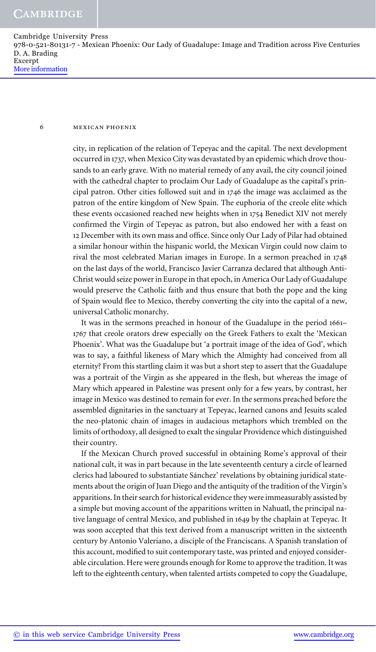## 6 mexican phoenix

city, in replication of the relation of Tepeyac and the capital. The next development occurred in 1737, when Mexico City was devastated by an epidemic which drove thousands to an early grave. With no material remedy of any avail, the city council joined with the cathedral chapter to proclaim Our Lady of Guadalupe as the capital's principal patron. Other cities followed suit and in 1746 the image was acclaimed as the patron of the entire kingdom of New Spain. The euphoria of the creole elite which these events occasioned reached new heights when in 1754 Benedict XIV not merely confirmed the Virgin of Tepeyac as patron, but also endowed her with a feast on 12 December with its own mass and office. Since only Our Lady of Pilar had obtained a similar honour within the hispanic world, the Mexican Virgin could now claim to rival the most celebrated Marian images in Europe. In a sermon preached in 1748 on the last days of the world, Francisco Javier Carranza declared that although Anti-Christ would seize power in Europe in that epoch, in America Our Lady of Guadalupe would preserve the Catholic faith and thus ensure that both the pope and the king of Spain would flee to Mexico, thereby converting the city into the capital of a new, universal Catholic monarchy.

It was in the sermons preached in honour of the Guadalupe in the period 1661– 1767 that creole orators drew especially on the Greek Fathers to exalt the 'Mexican Phoenix'. What was the Guadalupe but 'a portrait image of the idea of God', which was to say, a faithful likeness of Mary which the Almighty had conceived from all eternity? From this startling claim it was but a short step to assert that the Guadalupe was a portrait of the Virgin as she appeared in the flesh, but whereas the image of Mary which appeared in Palestine was present only for a few years, by contrast, her image in Mexico was destined to remain for ever. In the sermons preached before the assembled dignitaries in the sanctuary at Tepeyac, learned canons and Jesuits scaled the neo-platonic chain of images in audacious metaphors which trembled on the limits of orthodoxy, all designed to exalt the singular Providence which distinguished their country.

If the Mexican Church proved successful in obtaining Rome's approval of their national cult, it was in part because in the late seventeenth century a circle of learned clerics had laboured to substantiate Sánchez' revelations by obtaining juridical statements about the origin of Juan Diego and the antiquity of the tradition of the Virgin's apparitions. In their search for historical evidence they were immeasurably assisted by a simple but moving account of the apparitions written in Nahuatl, the principal native language of central Mexico, and published in 1649 by the chaplain at Tepeyac. It was soon accepted that this text derived from a manuscript written in the sixteenth century by Antonio Valeriano, a disciple of the Franciscans. A Spanish translation of this account, modified to suit contemporary taste, was printed and enjoyed considerable circulation. Here were grounds enough for Rome to approve the tradition. It was left to the eighteenth century, when talented artists competed to copy the Guadalupe,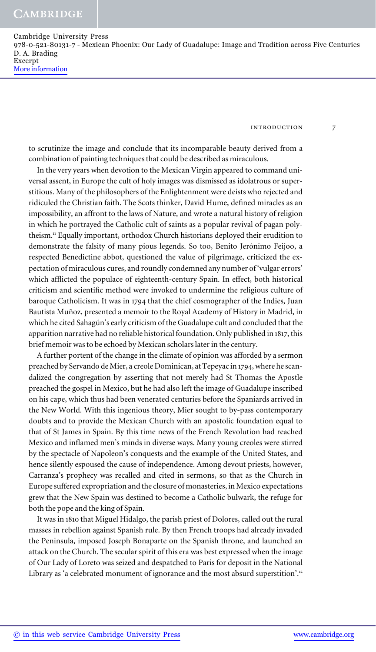introduction 7

to scrutinize the image and conclude that its incomparable beauty derived from a combination of painting techniques that could be described as miraculous.

In the very years when devotion to the Mexican Virgin appeared to command universal assent, in Europe the cult of holy images was dismissed as idolatrous or superstitious. Many of the philosophers of the Enlightenment were deists who rejected and ridiculed the Christian faith. The Scots thinker, David Hume, defined miracles as an impossibility, an affront to the laws of Nature, and wrote a natural history of religion in which he portrayed the Catholic cult of saints as a popular revival of pagan polytheism.<sup>11</sup> Equally important, orthodox Church historians deployed their erudition to demonstrate the falsity of many pious legends. So too, Benito Jerónimo Feijoo, a respected Benedictine abbot, questioned the value of pilgrimage, criticized the expectation of miraculous cures, and roundly condemned any number of 'vulgar errors' which afflicted the populace of eighteenth-century Spain. In effect, both historical criticism and scientific method were invoked to undermine the religious culture of baroque Catholicism. It was in 1794 that the chief cosmographer of the Indies, Juan Bautista Muñoz, presented a memoir to the Royal Academy of History in Madrid, in which he cited Sahagún's early criticism of the Guadalupe cult and concluded that the apparition narrative had no reliable historical foundation. Only published in 1817, this brief memoir was to be echoed by Mexican scholars later in the century.

A further portent of the change in the climate of opinion was afforded by a sermon preached by Servando de Mier, a creole Dominican, at Tepeyac in 1794, where he scandalized the congregation by asserting that not merely had St Thomas the Apostle preached the gospel in Mexico, but he had also left the image of Guadalupe inscribed on his cape, which thus had been venerated centuries before the Spaniards arrived in the New World. With this ingenious theory, Mier sought to by-pass contemporary doubts and to provide the Mexican Church with an apostolic foundation equal to that of St James in Spain. By this time news of the French Revolution had reached Mexico and inflamed men's minds in diverse ways. Many young creoles were stirred by the spectacle of Napoleon's conquests and the example of the United States, and hence silently espoused the cause of independence. Among devout priests, however, Carranza's prophecy was recalled and cited in sermons, so that as the Church in Europe suffered expropriation and the closure of monasteries, in Mexico expectations grew that the New Spain was destined to become a Catholic bulwark, the refuge for both the pope and the king of Spain.

It was in 1810 that Miguel Hidalgo, the parish priest of Dolores, called out the rural masses in rebellion against Spanish rule. By then French troops had already invaded the Peninsula, imposed Joseph Bonaparte on the Spanish throne, and launched an attack on the Church. The secular spirit of this era was best expressed when the image of Our Lady of Loreto was seized and despatched to Paris for deposit in the National Library as 'a celebrated monument of ignorance and the most absurd superstition'.<sup>12</sup>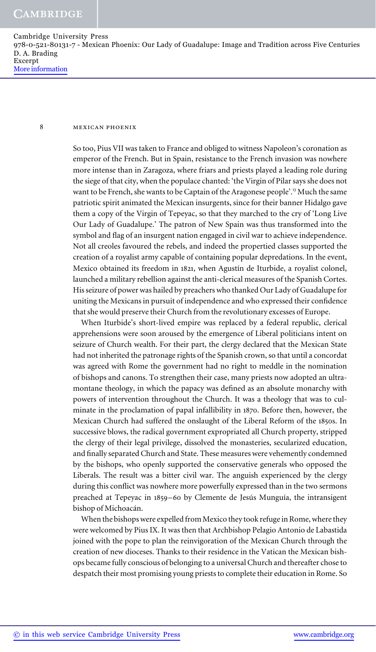## 8 mexican phoenix

So too, Pius VII was taken to France and obliged to witness Napoleon's coronation as emperor of the French. But in Spain, resistance to the French invasion was nowhere more intense than in Zaragoza, where friars and priests played a leading role during the siege of that city, when the populace chanted: 'the Virgin of Pilar says she does not want to be French, she wants to be Captain of the Aragonese people'.<sup>13</sup> Much the same patriotic spirit animated the Mexican insurgents, since for their banner Hidalgo gave them a copy of the Virgin of Tepeyac, so that they marched to the cry of 'Long Live Our Lady of Guadalupe.' The patron of New Spain was thus transformed into the symbol and flag of an insurgent nation engaged in civil war to achieve independence. Not all creoles favoured the rebels, and indeed the propertied classes supported the creation of a royalist army capable of containing popular depredations. In the event, Mexico obtained its freedom in 1821, when Agustín de Iturbide, a royalist colonel, launched a military rebellion against the anti-clerical measures of the Spanish Cortes. His seizure of power was hailed by preachers who thanked Our Lady of Guadalupe for uniting the Mexicans in pursuit of independence and who expressed their confidence that she would preserve their Church from the revolutionary excesses of Europe.

When Iturbide's short-lived empire was replaced by a federal republic, clerical apprehensions were soon aroused by the emergence of Liberal politicians intent on seizure of Church wealth. For their part, the clergy declared that the Mexican State had not inherited the patronage rights of the Spanish crown, so that until a concordat was agreed with Rome the government had no right to meddle in the nomination of bishops and canons. To strengthen their case, many priests now adopted an ultramontane theology, in which the papacy was defined as an absolute monarchy with powers of intervention throughout the Church. It was a theology that was to culminate in the proclamation of papal infallibility in 1870. Before then, however, the Mexican Church had suffered the onslaught of the Liberal Reform of the 1850s. In successive blows, the radical government expropriated all Church property, stripped the clergy of their legal privilege, dissolved the monasteries, secularized education, and finally separated Church and State. These measures were vehemently condemned by the bishops, who openly supported the conservative generals who opposed the Liberals. The result was a bitter civil war. The anguish experienced by the clergy during this conflict was nowhere more powerfully expressed than in the two sermons preached at Tepeyac in 1859–60 by Clemente de Jesús Munguía, the intransigent bishop of Michoacán.

When the bishops were expelled from Mexico they took refuge in Rome, where they were welcomed by Pius IX. It was then that Archbishop Pelagio Antonio de Labastida joined with the pope to plan the reinvigoration of the Mexican Church through the creation of new dioceses. Thanks to their residence in the Vatican the Mexican bishops became fully conscious of belonging to a universal Church and thereafter chose to despatch their most promising young priests to complete their education in Rome. So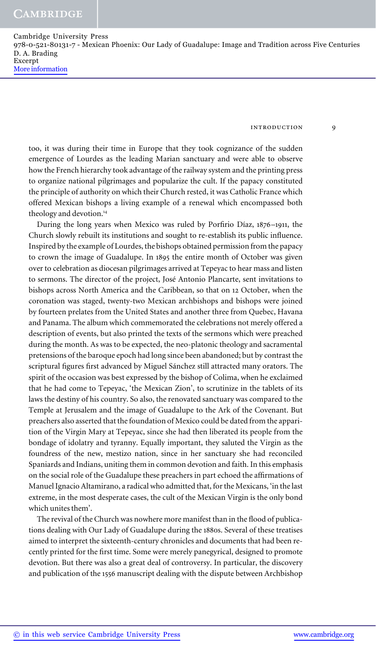introduction 9

too, it was during their time in Europe that they took cognizance of the sudden emergence of Lourdes as the leading Marian sanctuary and were able to observe how the French hierarchy took advantage of the railway system and the printing press to organize national pilgrimages and popularize the cult. If the papacy constituted the principle of authority on which their Church rested, it was Catholic France which offered Mexican bishops a living example of a renewal which encompassed both theology and devotion.<sup>14</sup>

During the long years when Mexico was ruled by Porfirio Díaz, 1876–1911, the Church slowly rebuilt its institutions and sought to re-establish its public influence. Inspired by the example of Lourdes, the bishops obtained permission from the papacy to crown the image of Guadalupe. In 1895 the entire month of October was given over to celebration as diocesan pilgrimages arrived at Tepeyac to hear mass and listen to sermons. The director of the project, José Antonio Plancarte, sent invitations to bishops across North America and the Caribbean, so that on 12 October, when the coronation was staged, twenty-two Mexican archbishops and bishops were joined by fourteen prelates from the United States and another three from Quebec, Havana and Panama. The album which commemorated the celebrations not merely offered a description of events, but also printed the texts of the sermons which were preached during the month. As was to be expected, the neo-platonic theology and sacramental pretensions of the baroque epoch had long since been abandoned; but by contrast the scriptural figures first advanced by Miguel Sánchez still attracted many orators. The spirit of the occasion was best expressed by the bishop of Colima, when he exclaimed that he had come to Tepeyac, 'the Mexican Zion', to scrutinize in the tablets of its laws the destiny of his country. So also, the renovated sanctuary was compared to the Temple at Jerusalem and the image of Guadalupe to the Ark of the Covenant. But preachers also asserted that the foundation of Mexico could be dated from the apparition of the Virgin Mary at Tepeyac, since she had then liberated its people from the bondage of idolatry and tyranny. Equally important, they saluted the Virgin as the foundress of the new, mestizo nation, since in her sanctuary she had reconciled Spaniards and Indians, uniting them in common devotion and faith. In this emphasis on the social role of the Guadalupe these preachers in part echoed the affirmations of Manuel Ignacio Altamirano, a radical who admitted that, for the Mexicans, 'in the last extreme, in the most desperate cases, the cult of the Mexican Virgin is the only bond which unites them'.

The revival of the Church was nowhere more manifest than in the flood of publications dealing with Our Lady of Guadalupe during the 1880s. Several of these treatises aimed to interpret the sixteenth-century chronicles and documents that had been recently printed for the first time. Some were merely panegyrical, designed to promote devotion. But there was also a great deal of controversy. In particular, the discovery and publication of the 1556 manuscript dealing with the dispute between Archbishop